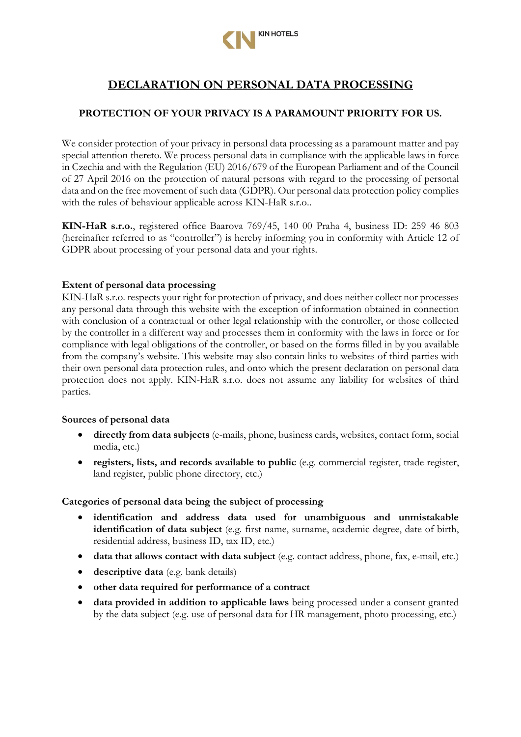

# **DECLARATION ON PERSONAL DATA PROCESSING**

# **PROTECTION OF YOUR PRIVACY IS A PARAMOUNT PRIORITY FOR US.**

We consider protection of your privacy in personal data processing as a paramount matter and pay special attention thereto. We process personal data in compliance with the applicable laws in force in Czechia and with the Regulation (EU) 2016/679 of the European Parliament and of the Council of 27 April 2016 on the protection of natural persons with regard to the processing of personal data and on the free movement of such data (GDPR). Our personal data protection policy complies with the rules of behaviour applicable across KIN-HaR s.r.o..

**KIN-HaR s.r.o.**, registered office Baarova 769/45, 140 00 Praha 4, business ID: 259 46 803 (hereinafter referred to as "controller") is hereby informing you in conformity with Article 12 of GDPR about processing of your personal data and your rights.

#### **Extent of personal data processing**

KIN-HaR s.r.o. respects your right for protection of privacy, and does neither collect nor processes any personal data through this website with the exception of information obtained in connection with conclusion of a contractual or other legal relationship with the controller, or those collected by the controller in a different way and processes them in conformity with the laws in force or for compliance with legal obligations of the controller, or based on the forms filled in by you available from the company's website. This website may also contain links to websites of third parties with their own personal data protection rules, and onto which the present declaration on personal data protection does not apply. KIN-HaR s.r.o. does not assume any liability for websites of third parties.

#### **Sources of personal data**

- **directly from data subjects** (e-mails, phone, business cards, websites, contact form, social media, etc.)
- **registers, lists, and records available to public** (e.g. commercial register, trade register, land register, public phone directory, etc.)

#### **Categories of personal data being the subject of processing**

- **identification and address data used for unambiguous and unmistakable identification of data subject** (e.g. first name, surname, academic degree, date of birth, residential address, business ID, tax ID, etc.)
- **data that allows contact with data subject** (e.g. contact address, phone, fax, e-mail, etc.)
- **descriptive data** (e.g. bank details)
- **other data required for performance of a contract**
- **data provided in addition to applicable laws** being processed under a consent granted by the data subject (e.g. use of personal data for HR management, photo processing, etc.)